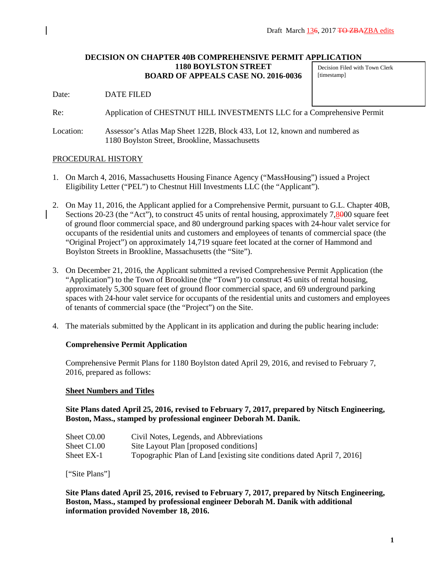#### **DECISION ON CHAPTER 40B COMPREHENSIVE PERMIT APPLICATION 1180 BOYLSTON STREET BOARD OF APPEALS CASE NO. 2016-0036** Decision Filed with Town Clerk [timestamp]

Date: DATE FILED

Re: Application of CHESTNUT HILL INVESTMENTS LLC for a Comprehensive Permit

Location: Assessor's Atlas Map Sheet 122B, Block 433, Lot 12, known and numbered as 1180 Boylston Street, Brookline, Massachusetts

#### PROCEDURAL HISTORY

- 1. On March 4, 2016, Massachusetts Housing Finance Agency ("MassHousing") issued a Project Eligibility Letter ("PEL") to Chestnut Hill Investments LLC (the "Applicant").
- 2. On May 11, 2016, the Applicant applied for a Comprehensive Permit, pursuant to G.L. Chapter 40B, Sections 20-23 (the "Act"), to construct 45 units of rental housing, approximately 7,8000 square feet of ground floor commercial space, and 80 underground parking spaces with 24-hour valet service for occupants of the residential units and customers and employees of tenants of commercial space (the "Original Project") on approximately 14,719 square feet located at the corner of Hammond and Boylston Streets in Brookline, Massachusetts (the "Site").
- 3. On December 21, 2016, the Applicant submitted a revised Comprehensive Permit Application (the "Application") to the Town of Brookline (the "Town") to construct 45 units of rental housing, approximately 5,300 square feet of ground floor commercial space, and 69 underground parking spaces with 24-hour valet service for occupants of the residential units and customers and employees of tenants of commercial space (the "Project") on the Site.
- 4. The materials submitted by the Applicant in its application and during the public hearing include:

### **Comprehensive Permit Application**

Comprehensive Permit Plans for 1180 Boylston dated April 29, 2016, and revised to February 7, 2016, prepared as follows:

#### **Sheet Numbers and Titles**

**Site Plans dated April 25, 2016, revised to February 7, 2017, prepared by Nitsch Engineering, Boston, Mass., stamped by professional engineer Deborah M. Danik.**

| Sheet C <sub>0.00</sub> | Civil Notes, Legends, and Abbreviations                                 |
|-------------------------|-------------------------------------------------------------------------|
| Sheet C1.00             | Site Layout Plan [proposed conditions]                                  |
| Sheet EX-1              | Topographic Plan of Land [existing site conditions dated April 7, 2016] |

["Site Plans"]

**Site Plans dated April 25, 2016, revised to February 7, 2017, prepared by Nitsch Engineering, Boston, Mass., stamped by professional engineer Deborah M. Danik with additional information provided November 18, 2016.**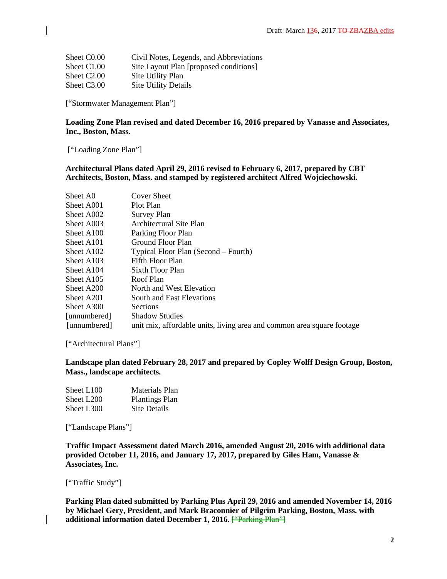| Sheet C <sub>0.00</sub> | Civil Notes, Legends, and Abbreviations |
|-------------------------|-----------------------------------------|
| Sheet C1.00             | Site Layout Plan [proposed conditions]  |
| Sheet C <sub>2.00</sub> | Site Utility Plan                       |
| Sheet C3.00             | <b>Site Utility Details</b>             |

["Stormwater Management Plan"]

#### **Loading Zone Plan revised and dated December 16, 2016 prepared by Vanasse and Associates, Inc., Boston, Mass.**

["Loading Zone Plan"]

#### **Architectural Plans dated April 29, 2016 revised to February 6, 2017, prepared by CBT Architects, Boston, Mass. and stamped by registered architect Alfred Wojciechowski.**

| Sheet A0               | Cover Sheet                                                            |
|------------------------|------------------------------------------------------------------------|
| Sheet A001             | Plot Plan                                                              |
| Sheet A002             | Survey Plan                                                            |
| Sheet A003             | Architectural Site Plan                                                |
| Sheet A100             | Parking Floor Plan                                                     |
| Sheet A <sub>101</sub> | Ground Floor Plan                                                      |
| Sheet A <sub>102</sub> | Typical Floor Plan (Second – Fourth)                                   |
| Sheet A <sub>103</sub> | Fifth Floor Plan                                                       |
| Sheet A <sub>104</sub> | Sixth Floor Plan                                                       |
| Sheet A <sub>105</sub> | Roof Plan                                                              |
| Sheet A200             | North and West Elevation                                               |
| Sheet A201             | South and East Elevations                                              |
| Sheet A300             | <b>Sections</b>                                                        |
| [unnumbered]           | <b>Shadow Studies</b>                                                  |
| [unnumbered]           | unit mix, affordable units, living area and common area square footage |

["Architectural Plans"]

# **Landscape plan dated February 28, 2017 and prepared by Copley Wolff Design Group, Boston, Mass., landscape architects.**

| Sheet L <sub>100</sub> | Materials Plan        |
|------------------------|-----------------------|
| Sheet L200             | <b>Plantings Plan</b> |
| Sheet L300             | Site Details          |

["Landscape Plans"]

**Traffic Impact Assessment dated March 2016, amended August 20, 2016 with additional data provided October 11, 2016, and January 17, 2017, prepared by Giles Ham, Vanasse & Associates, Inc.** 

["Traffic Study"]

 $\overline{\phantom{a}}$ 

**Parking Plan dated submitted by Parking Plus April 29, 2016 and amended November 14, 2016 by Michael Gery, President, and Mark Braconnier of Pilgrim Parking, Boston, Mass. with**  additional information dated December 1, 2016. <del>["Parking Plan"]</del>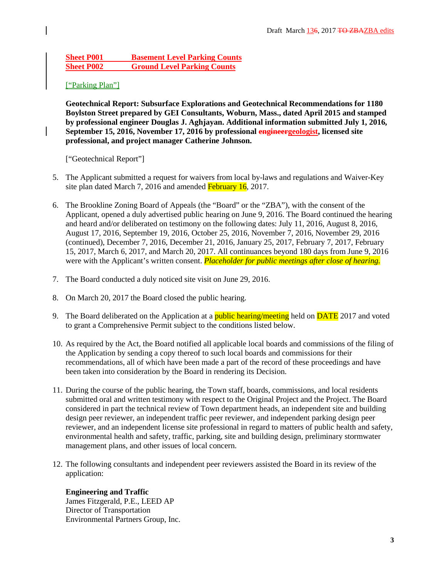# **Sheet P001 Basement Level Parking Counts Sheet P002 Ground Level Parking Counts**

# ["Parking Plan"]

**Geotechnical Report: Subsurface Explorations and Geotechnical Recommendations for 1180 Boylston Street prepared by GEI Consultants, Woburn, Mass., dated April 2015 and stamped by professional engineer Douglas J. Aghjayan. Additional information submitted July 1, 2016, September 15, 2016, November 17, 2016 by professional engineergeologist, licensed site professional, and project manager Catherine Johnson.**

["Geotechnical Report"]

- 5. The Applicant submitted a request for waivers from local by-laws and regulations and Waiver-Key site plan dated March 7, 2016 and amended February 16, 2017.
- 6. The Brookline Zoning Board of Appeals (the "Board" or the "ZBA"), with the consent of the Applicant, opened a duly advertised public hearing on June 9, 2016. The Board continued the hearing and heard and/or deliberated on testimony on the following dates: July 11, 2016, August 8, 2016, August 17, 2016, September 19, 2016, October 25, 2016, November 7, 2016, November 29, 2016 (continued), December 7, 2016, December 21, 2016, January 25, 2017, February 7, 2017, February 15, 2017, March 6, 2017, and March 20, 2017. All continuances beyond 180 days from June 9, 2016 were with the Applicant's written consent. *Placeholder for public meetings after close of hearing.*
- 7. The Board conducted a duly noticed site visit on June 29, 2016.
- 8. On March 20, 2017 the Board closed the public hearing.
- 9. The Board deliberated on the Application at a **public hearing/meeting** held on **DATE** 2017 and voted to grant a Comprehensive Permit subject to the conditions listed below.
- 10. As required by the Act, the Board notified all applicable local boards and commissions of the filing of the Application by sending a copy thereof to such local boards and commissions for their recommendations, all of which have been made a part of the record of these proceedings and have been taken into consideration by the Board in rendering its Decision.
- 11. During the course of the public hearing, the Town staff, boards, commissions, and local residents submitted oral and written testimony with respect to the Original Project and the Project. The Board considered in part the technical review of Town department heads, an independent site and building design peer reviewer, an independent traffic peer reviewer, and independent parking design peer reviewer, and an independent license site professional in regard to matters of public health and safety, environmental health and safety, traffic, parking, site and building design, preliminary stormwater management plans, and other issues of local concern.
- 12. The following consultants and independent peer reviewers assisted the Board in its review of the application:

**Engineering and Traffic** James Fitzgerald, P.E., LEED AP Director of Transportation Environmental Partners Group, Inc.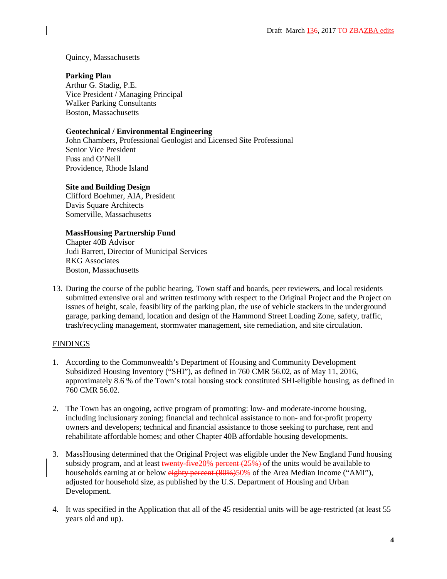## Quincy, Massachusetts

# **Parking Plan**

Arthur G. Stadig, P.E. Vice President / Managing Principal Walker Parking Consultants Boston, Massachusetts

# **Geotechnical / Environmental Engineering**

John Chambers, Professional Geologist and Licensed Site Professional Senior Vice President Fuss and O'Neill Providence, Rhode Island

# **Site and Building Design**

Clifford Boehmer, AIA, President Davis Square Architects Somerville, Massachusetts

# **MassHousing Partnership Fund**

Chapter 40B Advisor Judi Barrett, Director of Municipal Services RKG Associates Boston, Massachusetts

13. During the course of the public hearing, Town staff and boards, peer reviewers, and local residents submitted extensive oral and written testimony with respect to the Original Project and the Project on issues of height, scale, feasibility of the parking plan, the use of vehicle stackers in the underground garage, parking demand, location and design of the Hammond Street Loading Zone, safety, traffic, trash/recycling management, stormwater management, site remediation, and site circulation.

# **FINDINGS**

- 1. According to the Commonwealth's Department of Housing and Community Development Subsidized Housing Inventory ("SHI"), as defined in 760 CMR 56.02, as of May 11, 2016, approximately 8.6 % of the Town's total housing stock constituted SHI-eligible housing, as defined in 760 CMR 56.02.
- 2. The Town has an ongoing, active program of promoting: low- and moderate-income housing, including inclusionary zoning; financial and technical assistance to non- and for-profit property owners and developers; technical and financial assistance to those seeking to purchase, rent and rehabilitate affordable homes; and other Chapter 40B affordable housing developments.
- 3. MassHousing determined that the Original Project was eligible under the New England Fund housing subsidy program, and at least twenty-five  $20\%$  percent  $(25\%)$  of the units would be available to households earning at or below eighty percent (80%)50% of the Area Median Income ("AMI"), adjusted for household size, as published by the U.S. Department of Housing and Urban Development.
- 4. It was specified in the Application that all of the 45 residential units will be age-restricted (at least 55 years old and up).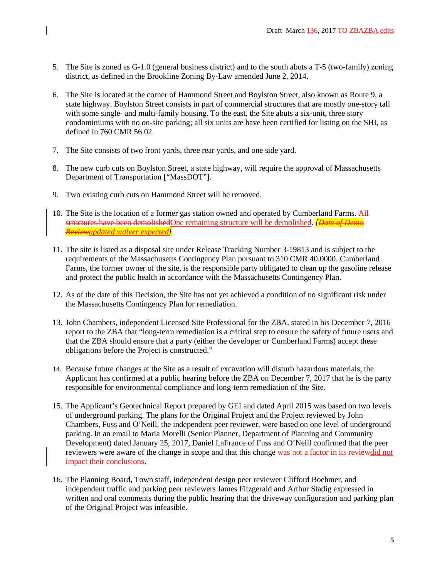- 5. The Site is zoned as G-1.0 (general business district) and to the south abuts a T-5 (two-family) zoning district, as defined in the Brookline Zoning By-Law amended June 2, 2014.
- 6. The Site is located at the corner of Hammond Street and Boylston Street, also known as Route 9, a state highway. Boylston Street consists in part of commercial structures that are mostly one-story tall with some single- and multi-family housing. To the east, the Site abuts a six-unit, three story condominiums with no on-site parking; all six units are have been certified for listing on the SHI, as defined in 760 CMR 56.02.
- 7. The Site consists of two front yards, three rear yards, and one side yard.
- 8. The new curb cuts on Boylston Street, a state highway, will require the approval of Massachusetts Department of Transportation ["MassDOT"].
- 9. Two existing curb cuts on Hammond Street will be removed.
- 10. The Site is the location of a former gas station owned and operated by Cumberland Farms. All structures have been demolishedOne remaining structure will be demolished. *[Date of Demo Reviewupdated waiver expected]*
- 11. The site is listed as a disposal site under Release Tracking Number 3-19813 and is subject to the requirements of the Massachusetts Contingency Plan pursuant to 310 CMR 40.0000. Cumberland Farms, the former owner of the site, is the responsible party obligated to clean up the gasoline release and protect the public health in accordance with the Massachusetts Contingency Plan.
- 12. As of the date of this Decision, the Site has not yet achieved a condition of no significant risk under the Massachusetts Contingency Plan for remediation.
- 13. John Chambers, independent Licensed Site Professional for the ZBA, stated in his December 7, 2016 report to the ZBA that "long-term remediation is a critical step to ensure the safety of future users and that the ZBA should ensure that a party (either the developer or Cumberland Farms) accept these obligations before the Project is constructed."
- 14. Because future changes at the Site as a result of excavation will disturb hazardous materials, the Applicant has confirmed at a public hearing before the ZBA on December 7, 2017 that he is the party responsible for environmental compliance and long-term remediation of the Site.
- 15. The Applicant's Geotechnical Report prepared by GEI and dated April 2015 was based on two levels of underground parking. The plans for the Original Project and the Project reviewed by John Chambers, Fuss and O'Neill, the independent peer reviewer, were based on one level of underground parking. In an email to Maria Morelli (Senior Planner, Department of Planning and Community Development) dated January 25, 2017, Daniel LaFrance of Fuss and O'Neill confirmed that the peer reviewers were aware of the change in scope and that this change was not a factor in its reviewdid not impact their conclusions.
- 16. The Planning Board, Town staff, independent design peer reviewer Clifford Boehmer, and independent traffic and parking peer reviewers James Fitzgerald and Arthur Stadig expressed in written and oral comments during the public hearing that the driveway configuration and parking plan of the Original Project was infeasible.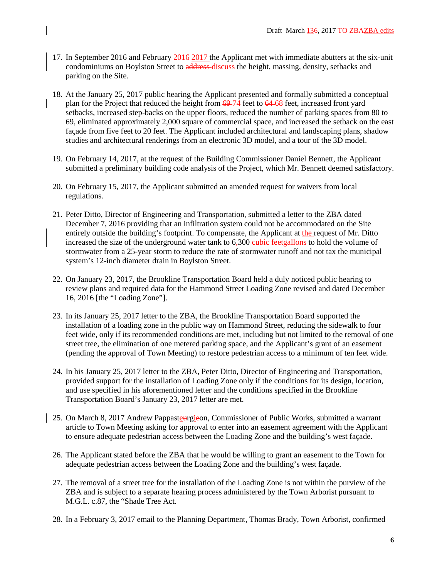- 17. In September 2016 and February 2016 2017 the Applicant met with immediate abutters at the six-unit condominiums on Boylston Street to address discuss the height, massing, density, setbacks and parking on the Site.
- 18. At the January 25, 2017 public hearing the Applicant presented and formally submitted a conceptual plan for the Project that reduced the height from 69 74 feet to 64 68 feet, increased front yard setbacks, increased step-backs on the upper floors, reduced the number of parking spaces from 80 to 69, eliminated approximately 2,000 square of commercial space, and increased the setback on the east façade from five feet to 20 feet. The Applicant included architectural and landscaping plans, shadow studies and architectural renderings from an electronic 3D model, and a tour of the 3D model.
- 19. On February 14, 2017, at the request of the Building Commissioner Daniel Bennett, the Applicant submitted a preliminary building code analysis of the Project, which Mr. Bennett deemed satisfactory.
- 20. On February 15, 2017, the Applicant submitted an amended request for waivers from local regulations.
- 21. Peter Ditto, Director of Engineering and Transportation, submitted a letter to the ZBA dated December 7, 2016 providing that an infiltration system could not be accommodated on the Site entirely outside the building's footprint. To compensate, the Applicant at the request of Mr. Ditto increased the size of the underground water tank to 6,300 eubic feetgallons to hold the volume of stormwater from a 25-year storm to reduce the rate of stormwater runoff and not tax the municipal system's 12-inch diameter drain in Boylston Street.
- 22. On January 23, 2017, the Brookline Transportation Board held a duly noticed public hearing to review plans and required data for the Hammond Street Loading Zone revised and dated December 16, 2016 [the "Loading Zone"].
- 23. In its January 25, 2017 letter to the ZBA, the Brookline Transportation Board supported the installation of a loading zone in the public way on Hammond Street, reducing the sidewalk to four feet wide, only if its recommended conditions are met, including but not limited to the removal of one street tree, the elimination of one metered parking space, and the Applicant's grant of an easement (pending the approval of Town Meeting) to restore pedestrian access to a minimum of ten feet wide.
- 24. In his January 25, 2017 letter to the ZBA, Peter Ditto, Director of Engineering and Transportation, provided support for the installation of Loading Zone only if the conditions for its design, location, and use specified in his aforementioned letter and the conditions specified in the Brookline Transportation Board's January 23, 2017 letter are met.
- 25. On March 8, 2017 Andrew Pappasteurgieon, Commissioner of Public Works, submitted a warrant article to Town Meeting asking for approval to enter into an easement agreement with the Applicant to ensure adequate pedestrian access between the Loading Zone and the building's west façade.
- 26. The Applicant stated before the ZBA that he would be willing to grant an easement to the Town for adequate pedestrian access between the Loading Zone and the building's west façade.
- 27. The removal of a street tree for the installation of the Loading Zone is not within the purview of the ZBA and is subject to a separate hearing process administered by the Town Arborist pursuant to M.G.L. c.87, the "Shade Tree Act.
- 28. In a February 3, 2017 email to the Planning Department, Thomas Brady, Town Arborist, confirmed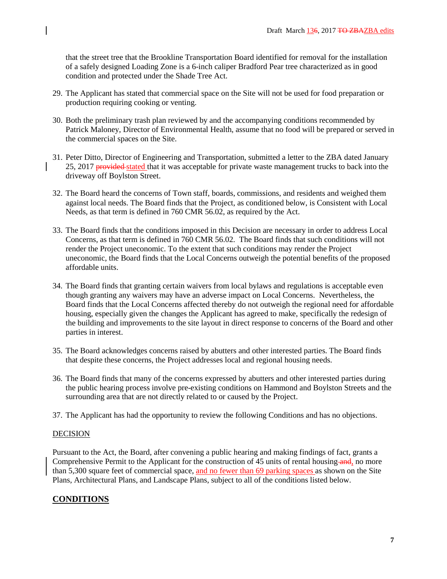that the street tree that the Brookline Transportation Board identified for removal for the installation of a safely designed Loading Zone is a 6-inch caliper Bradford Pear tree characterized as in good condition and protected under the Shade Tree Act.

- 29. The Applicant has stated that commercial space on the Site will not be used for food preparation or production requiring cooking or venting.
- 30. Both the preliminary trash plan reviewed by and the accompanying conditions recommended by Patrick Maloney, Director of Environmental Health, assume that no food will be prepared or served in the commercial spaces on the Site.
- 31. Peter Ditto, Director of Engineering and Transportation, submitted a letter to the ZBA dated January 25, 2017 provided stated that it was acceptable for private waste management trucks to back into the driveway off Boylston Street.
- 32. The Board heard the concerns of Town staff, boards, commissions, and residents and weighed them against local needs. The Board finds that the Project, as conditioned below, is Consistent with Local Needs, as that term is defined in 760 CMR 56.02, as required by the Act.
- 33. The Board finds that the conditions imposed in this Decision are necessary in order to address Local Concerns, as that term is defined in 760 CMR 56.02. The Board finds that such conditions will not render the Project uneconomic. To the extent that such conditions may render the Project uneconomic, the Board finds that the Local Concerns outweigh the potential benefits of the proposed affordable units.
- 34. The Board finds that granting certain waivers from local bylaws and regulations is acceptable even though granting any waivers may have an adverse impact on Local Concerns. Nevertheless, the Board finds that the Local Concerns affected thereby do not outweigh the regional need for affordable housing, especially given the changes the Applicant has agreed to make, specifically the redesign of the building and improvements to the site layout in direct response to concerns of the Board and other parties in interest.
- 35. The Board acknowledges concerns raised by abutters and other interested parties. The Board finds that despite these concerns, the Project addresses local and regional housing needs.
- 36. The Board finds that many of the concerns expressed by abutters and other interested parties during the public hearing process involve pre-existing conditions on Hammond and Boylston Streets and the surrounding area that are not directly related to or caused by the Project.
- 37. The Applicant has had the opportunity to review the following Conditions and has no objections.

### **DECISION**

Pursuant to the Act, the Board, after convening a public hearing and making findings of fact, grants a Comprehensive Permit to the Applicant for the construction of 45 units of rental housing and, no more than 5,300 square feet of commercial space, and no fewer than 69 parking spaces as shown on the Site Plans, Architectural Plans, and Landscape Plans, subject to all of the conditions listed below.

# **CONDITIONS**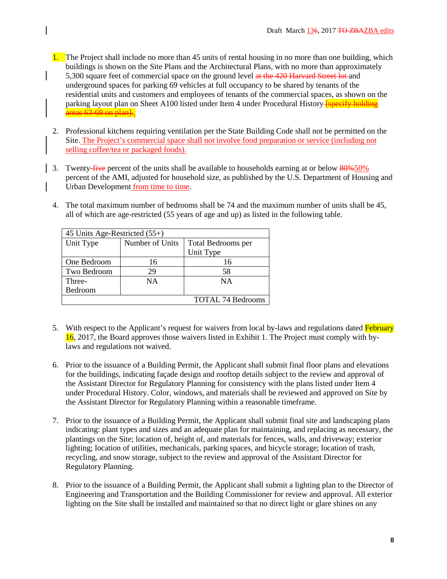- 1. The Project shall include no more than 45 units of rental housing in no more than one building, which buildings is shown on the Site Plans and the Architectural Plans, with no more than approximately 5,300 square feet of commercial space on the ground level at the 420 Harvard Street lot and underground spaces for parking 69 vehicles at full occupancy to be shared by tenants of the residential units and customers and employees of tenants of the commercial spaces, as shown on the parking layout plan on Sheet A100 listed under Item 4 under Procedural History-**[specify holding**] areas 63-69 on plan.
- 2. Professional kitchens requiring ventilation per the State Building Code shall not be permitted on the Site. The Project's commercial space shall not involve food preparation or service (including not selling coffee/tea or packaged foods).
- 3. Twenty-five percent of the units shall be available to households earning at or below 80%50% percent of the AMI, adjusted for household size, as published by the U.S. Department of Housing and Urban Development from time to time.
	- 4. The total maximum number of bedrooms shall be 74 and the maximum number of units shall be 45, all of which are age-restricted (55 years of age and up) as listed in the following table*.*

| 45 Units Age-Restricted $(55+)$ |                 |                          |  |  |  |
|---------------------------------|-----------------|--------------------------|--|--|--|
| Unit Type                       | Number of Units | Total Bedrooms per       |  |  |  |
|                                 |                 | Unit Type                |  |  |  |
| One Bedroom                     | 16              | 16                       |  |  |  |
| Two Bedroom                     | 29              | 58                       |  |  |  |
| Three-                          | <b>NA</b>       | <b>NA</b>                |  |  |  |
| Bedroom                         |                 |                          |  |  |  |
|                                 |                 | <b>TOTAL 74 Bedrooms</b> |  |  |  |

- 5. With respect to the Applicant's request for waivers from local by-laws and regulations dated February 16, 2017, the Board approves those waivers listed in Exhibit 1. The Project must comply with bylaws and regulations not waived.
- 6. Prior to the issuance of a Building Permit, the Applicant shall submit final floor plans and elevations for the buildings, indicating façade design and rooftop details subject to the review and approval of the Assistant Director for Regulatory Planning for consistency with the plans listed under Item 4 under Procedural History. Color, windows, and materials shall be reviewed and approved on Site by the Assistant Director for Regulatory Planning within a reasonable timeframe.
- 7. Prior to the issuance of a Building Permit, the Applicant shall submit final site and landscaping plans indicating: plant types and sizes and an adequate plan for maintaining, and replacing as necessary, the plantings on the Site; location of, height of, and materials for fences, walls, and driveway; exterior lighting; location of utilities, mechanicals, parking spaces, and bicycle storage; location of trash, recycling, and snow storage, subject to the review and approval of the Assistant Director for Regulatory Planning.
- 8. Prior to the issuance of a Building Permit, the Applicant shall submit a lighting plan to the Director of Engineering and Transportation and the Building Commissioner for review and approval. All exterior lighting on the Site shall be installed and maintained so that no direct light or glare shines on any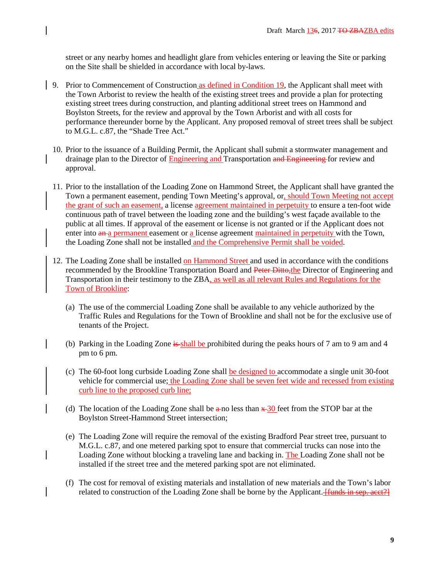street or any nearby homes and headlight glare from vehicles entering or leaving the Site or parking on the Site shall be shielded in accordance with local by-laws.

- 9. Prior to Commencement of Construction as defined in Condition 19, the Applicant shall meet with the Town Arborist to review the health of the existing street trees and provide a plan for protecting existing street trees during construction, and planting additional street trees on Hammond and Boylston Streets, for the review and approval by the Town Arborist and with all costs for performance thereunder borne by the Applicant. Any proposed removal of street trees shall be subject to M.G.L. c.87, the "Shade Tree Act."
	- 10. Prior to the issuance of a Building Permit, the Applicant shall submit a stormwater management and drainage plan to the Director of **Engineering and Transportation and Engineering** for review and approval.
	- 11. Prior to the installation of the Loading Zone on Hammond Street, the Applicant shall have granted the Town a permanent easement, pending Town Meeting's approval, or, should Town Meeting not accept the grant of such an easement, a license agreement maintained in perpetuity to ensure a ten-foot wide continuous path of travel between the loading zone and the building's west façade available to the public at all times. If approval of the easement or license is not granted or if the Applicant does not enter into an a permanent easement or a license agreement maintained in perpetuity with the Town, the Loading Zone shall not be installed and the Comprehensive Permit shall be voided.
	- 12. The Loading Zone shall be installed on Hammond Street and used in accordance with the conditions recommended by the Brookline Transportation Board and Peter Ditto, the Director of Engineering and Transportation in their testimony to the ZBA, as well as all relevant Rules and Regulations for the Town of Brookline:
		- (a) The use of the commercial Loading Zone shall be available to any vehicle authorized by the Traffic Rules and Regulations for the Town of Brookline and shall not be for the exclusive use of tenants of the Project.
		- (b) Parking in the Loading Zone is shall be prohibited during the peaks hours of 7 am to 9 am and 4 pm to 6 pm.
		- (c) The 60-foot long curbside Loading Zone shall be designed to accommodate a single unit 30-foot vehicle for commercial use; the Loading Zone shall be seven feet wide and recessed from existing curb line to the proposed curb line;
		- (d) The location of the Loading Zone shall be  $\frac{a}{20}$  feet from the STOP bar at the Boylston Street-Hammond Street intersection;
		- (e) The Loading Zone will require the removal of the existing Bradford Pear street tree, pursuant to M.G.L. c.87, and one metered parking spot to ensure that commercial trucks can nose into the Loading Zone without blocking a traveling lane and backing in. The Loading Zone shall not be installed if the street tree and the metered parking spot are not eliminated.
		- (f) The cost for removal of existing materials and installation of new materials and the Town's labor related to construction of the Loading Zone shall be borne by the Applicant. *[funds in sep. acct*?]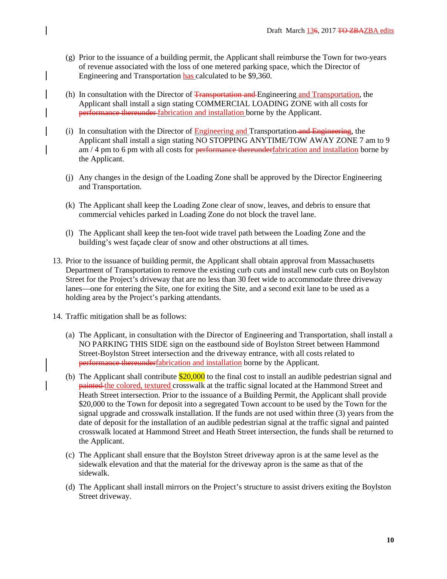- (g) Prior to the issuance of a building permit, the Applicant shall reimburse the Town for two-years of revenue associated with the loss of one metered parking space, which the Director of Engineering and Transportation has calculated to be \$9,360.
- (h) In consultation with the Director of Transportation and Engineering and Transportation, the Applicant shall install a sign stating COMMERCIAL LOADING ZONE with all costs for performance thereunder fabrication and installation borne by the Applicant.
- (i) In consultation with the Director of  $Engineering and Transportion-**and Engineering**$ , the</u> Applicant shall install a sign stating NO STOPPING ANYTIME/TOW AWAY ZONE 7 am to 9  $am / 4$  pm to 6 pm with all costs for <del>performance thereunder</del>fabrication and installation borne by the Applicant.
- (j) Any changes in the design of the Loading Zone shall be approved by the Director Engineering and Transportation.
- (k) The Applicant shall keep the Loading Zone clear of snow, leaves, and debris to ensure that commercial vehicles parked in Loading Zone do not block the travel lane.
- (l) The Applicant shall keep the ten-foot wide travel path between the Loading Zone and the building's west façade clear of snow and other obstructions at all times.
- 13. Prior to the issuance of building permit, the Applicant shall obtain approval from Massachusetts Department of Transportation to remove the existing curb cuts and install new curb cuts on Boylston Street for the Project's driveway that are no less than 30 feet wide to accommodate three driveway lanes—one for entering the Site, one for exiting the Site, and a second exit lane to be used as a holding area by the Project's parking attendants.
- 14. Traffic mitigation shall be as follows:
	- (a) The Applicant, in consultation with the Director of Engineering and Transportation, shall install a NO PARKING THIS SIDE sign on the eastbound side of Boylston Street between Hammond Street-Boylston Street intersection and the driveway entrance, with all costs related to performance thereunderfabrication and installation borne by the Applicant*.*
	- (b) The Applicant shall contribute  $$20,000$  to the final cost to install an audible pedestrian signal and painted the colored, textured crosswalk at the traffic signal located at the Hammond Street and Heath Street intersection. Prior to the issuance of a Building Permit, the Applicant shall provide \$20,000 to the Town for deposit into a segregated Town account to be used by the Town for the signal upgrade and crosswalk installation. If the funds are not used within three (3) years from the date of deposit for the installation of an audible pedestrian signal at the traffic signal and painted crosswalk located at Hammond Street and Heath Street intersection, the funds shall be returned to the Applicant.
	- (c) The Applicant shall ensure that the Boylston Street driveway apron is at the same level as the sidewalk elevation and that the material for the driveway apron is the same as that of the sidewalk.
	- (d) The Applicant shall install mirrors on the Project's structure to assist drivers exiting the Boylston Street driveway.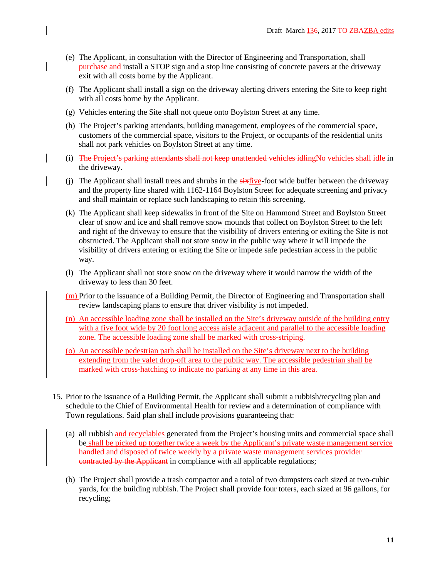- (e) The Applicant, in consultation with the Director of Engineering and Transportation, shall purchase and install a STOP sign and a stop line consisting of concrete pavers at the driveway exit with all costs borne by the Applicant.
- (f) The Applicant shall install a sign on the driveway alerting drivers entering the Site to keep right with all costs borne by the Applicant.
- (g) Vehicles entering the Site shall not queue onto Boylston Street at any time.
- (h) The Project's parking attendants, building management, employees of the commercial space, customers of the commercial space, visitors to the Project, or occupants of the residential units shall not park vehicles on Boylston Street at any time.
- (i) The Project's parking attendants shall not keep unattended vehicles idlingNo vehicles shall idle in the driveway.
- (j) The Applicant shall install trees and shrubs in the  $sixfive$ -foot wide buffer between the driveway and the property line shared with 1162-1164 Boylston Street for adequate screening and privacy and shall maintain or replace such landscaping to retain this screening.
- (k) The Applicant shall keep sidewalks in front of the Site on Hammond Street and Boylston Street clear of snow and ice and shall remove snow mounds that collect on Boylston Street to the left and right of the driveway to ensure that the visibility of drivers entering or exiting the Site is not obstructed. The Applicant shall not store snow in the public way where it will impede the visibility of drivers entering or exiting the Site or impede safe pedestrian access in the public way.
- (l) The Applicant shall not store snow on the driveway where it would narrow the width of the driveway to less than 30 feet.
- $(m)$  Prior to the issuance of a Building Permit, the Director of Engineering and Transportation shall review landscaping plans to ensure that driver visibility is not impeded.
- (n) An accessible loading zone shall be installed on the Site's driveway outside of the building entry with a five foot wide by 20 foot long access aisle adjacent and parallel to the accessible loading zone. The accessible loading zone shall be marked with cross-striping.
- (o) An accessible pedestrian path shall be installed on the Site's driveway next to the building extending from the valet drop-off area to the public way. The accessible pedestrian shall be marked with cross-hatching to indicate no parking at any time in this area.
- 15. Prior to the issuance of a Building Permit, the Applicant shall submit a rubbish/recycling plan and schedule to the Chief of Environmental Health for review and a determination of compliance with Town regulations. Said plan shall include provisions guaranteeing that:
	- (a) all rubbish and recyclables generated from the Project's housing units and commercial space shall be shall be picked up together twice a week by the Applicant's private waste management service handled and disposed of twice weekly by a private waste management services provider contracted by the Applicant in compliance with all applicable regulations;
	- (b) The Project shall provide a trash compactor and a total of two dumpsters each sized at two-cubic yards, for the building rubbish. The Project shall provide four toters, each sized at 96 gallons, for recycling;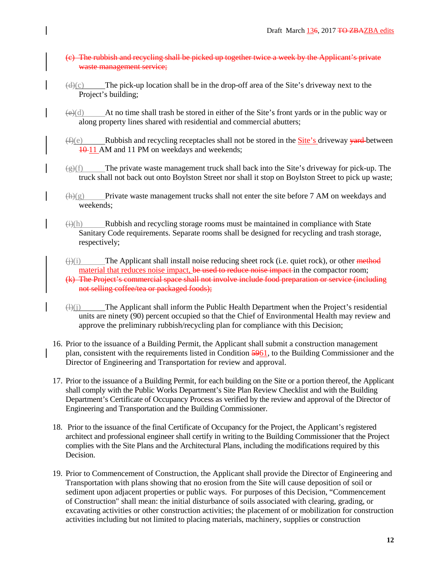- (c) The rubbish and recycling shall be picked up together twice a week by the Applicant's private waste management service;
- $(d)(c)$  The pick-up location shall be in the drop-off area of the Site's driveway next to the Project's building;
- $(e)(d)$  At no time shall trash be stored in either of the Site's front yards or in the public way or along property lines shared with residential and commercial abutters;
- $(f)(e)$  Rubbish and recycling receptacles shall not be stored in the **Site's driveway <del>yard</del>-between** 10 11 AM and 11 PM on weekdays and weekends;
- $\frac{1}{2}(f)$  The private waste management truck shall back into the Site's driveway for pick-up. The truck shall not back out onto Boylston Street nor shall it stop on Boylston Street to pick up waste;
- $(h)(g)$  Private waste management trucks shall not enter the site before 7 AM on weekdays and weekends;
- $\Theta(\hat{H})$  Rubbish and recycling storage rooms must be maintained in compliance with State Sanitary Code requirements. Separate rooms shall be designed for recycling and trash storage, respectively;
- $\overrightarrow{(i)}$ (i) The Applicant shall install noise reducing sheet rock (i.e. quiet rock), or other method material that reduces noise impact, be used to reduce noise impact in the compactor room;
- (k) The Project's commercial space shall not involve include food preparation or service (including not selling coffee/tea or packaged foods);
- $\langle \downarrow \rangle$ (j) The Applicant shall inform the Public Health Department when the Project's residential units are ninety (90) percent occupied so that the Chief of Environmental Health may review and approve the preliminary rubbish/recycling plan for compliance with this Decision;
- 16. Prior to the issuance of a Building Permit, the Applicant shall submit a construction management plan, consistent with the requirements listed in Condition 5961, to the Building Commissioner and the Director of Engineering and Transportation for review and approval.
- 17. Prior to the issuance of a Building Permit, for each building on the Site or a portion thereof, the Applicant shall comply with the Public Works Department's Site Plan Review Checklist and with the Building Department's Certificate of Occupancy Process as verified by the review and approval of the Director of Engineering and Transportation and the Building Commissioner.
- 18. Prior to the issuance of the final Certificate of Occupancy for the Project, the Applicant's registered architect and professional engineer shall certify in writing to the Building Commissioner that the Project complies with the Site Plans and the Architectural Plans, including the modifications required by this Decision.
- 19. Prior to Commencement of Construction, the Applicant shall provide the Director of Engineering and Transportation with plans showing that no erosion from the Site will cause deposition of soil or sediment upon adjacent properties or public ways. For purposes of this Decision, "Commencement of Construction" shall mean: the initial disturbance of soils associated with clearing, grading, or excavating activities or other construction activities; the placement of or mobilization for construction activities including but not limited to placing materials, machinery, supplies or construction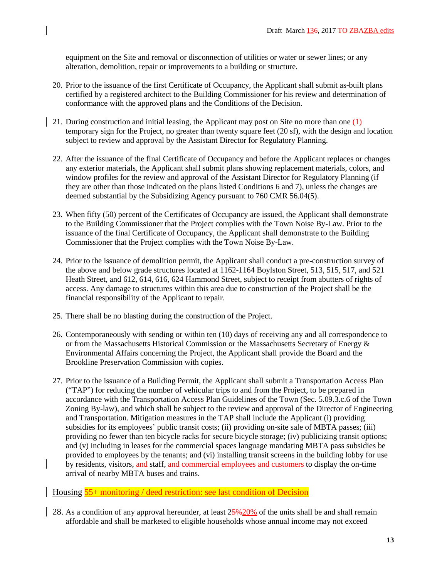equipment on the Site and removal or disconnection of utilities or water or sewer lines; or any alteration, demolition, repair or improvements to a building or structure.

- 20. Prior to the issuance of the first Certificate of Occupancy, the Applicant shall submit as-built plans certified by a registered architect to the Building Commissioner for his review and determination of conformance with the approved plans and the Conditions of the Decision.
- 21. During construction and initial leasing, the Applicant may post on Site no more than one  $(1)$ temporary sign for the Project, no greater than twenty square feet (20 sf), with the design and location subject to review and approval by the Assistant Director for Regulatory Planning.
- 22. After the issuance of the final Certificate of Occupancy and before the Applicant replaces or changes any exterior materials, the Applicant shall submit plans showing replacement materials, colors, and window profiles for the review and approval of the Assistant Director for Regulatory Planning (if they are other than those indicated on the plans listed Conditions 6 and 7), unless the changes are deemed substantial by the Subsidizing Agency pursuant to 760 CMR 56.04(5).
- 23. When fifty (50) percent of the Certificates of Occupancy are issued, the Applicant shall demonstrate to the Building Commissioner that the Project complies with the Town Noise By-Law. Prior to the issuance of the final Certificate of Occupancy, the Applicant shall demonstrate to the Building Commissioner that the Project complies with the Town Noise By-Law.
- 24. Prior to the issuance of demolition permit, the Applicant shall conduct a pre-construction survey of the above and below grade structures located at 1162-1164 Boylston Street, 513, 515, 517, and 521 Heath Street, and 612, 614, 616, 624 Hammond Street, subject to receipt from abutters of rights of access. Any damage to structures within this area due to construction of the Project shall be the financial responsibility of the Applicant to repair.
- 25. There shall be no blasting during the construction of the Project.
- 26. Contemporaneously with sending or within ten (10) days of receiving any and all correspondence to or from the Massachusetts Historical Commission or the Massachusetts Secretary of Energy  $\&$ Environmental Affairs concerning the Project, the Applicant shall provide the Board and the Brookline Preservation Commission with copies.
- 27. Prior to the issuance of a Building Permit, the Applicant shall submit a Transportation Access Plan ("TAP") for reducing the number of vehicular trips to and from the Project, to be prepared in accordance with the Transportation Access Plan Guidelines of the Town (Sec. 5.09.3.c.6 of the Town Zoning By-law), and which shall be subject to the review and approval of the Director of Engineering and Transportation. Mitigation measures in the TAP shall include the Applicant (i) providing subsidies for its employees' public transit costs; (ii) providing on-site sale of MBTA passes; (iii) providing no fewer than ten bicycle racks for secure bicycle storage; (iv) publicizing transit options; and (v) including in leases for the commercial spaces language mandating MBTA pass subsidies be provided to employees by the tenants; and (vi) installing transit screens in the building lobby for use by residents, visitors, and staff, and commercial employees and customers to display the on-time arrival of nearby MBTA buses and trains.

Housing 55+ monitoring / deed restriction: see last condition of Decision

28. As a condition of any approval hereunder, at least  $25\frac{400}{6}$  of the units shall be and shall remain affordable and shall be marketed to eligible households whose annual income may not exceed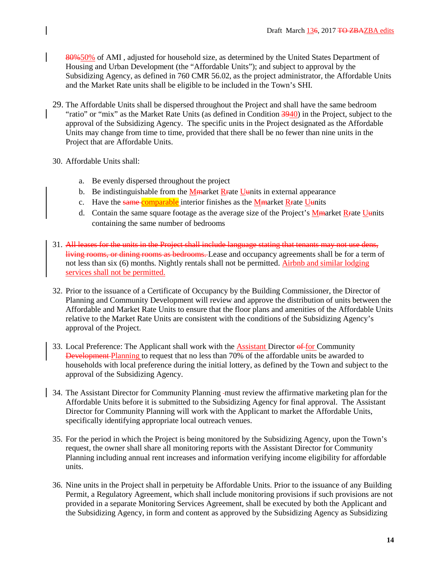80%50% of AMI , adjusted for household size, as determined by the United States Department of Housing and Urban Development (the "Affordable Units"); and subject to approval by the Subsidizing Agency, as defined in 760 CMR 56.02, as the project administrator, the Affordable Units and the Market Rate units shall be eligible to be included in the Town's SHI.

- 29. The Affordable Units shall be dispersed throughout the Project and shall have the same bedroom "ratio" or "mix" as the Market Rate Units (as defined in Condition 3940) in the Project, subject to the approval of the Subsidizing Agency. The specific units in the Project designated as the Affordable Units may change from time to time, provided that there shall be no fewer than nine units in the Project that are Affordable Units.
- 30. Affordable Units shall:
	- a. Be evenly dispersed throughout the project
	- b. Be indistinguishable from the Mmarket R rate Uunits in external appearance
	- c. Have the same comparable interior finishes as the Mmarket Rrate Uunits
	- d. Contain the same square footage as the average size of the Project's  $M<sub>th</sub>$  arket R  $_{\rm F}$  ate U  $_{\rm th}$  U  $_{\rm th}$ containing the same number of bedrooms
- 31. All leases for the units in the Project shall include language stating that tenants may not use dens, living rooms, or dining rooms as bedrooms. Lease and occupancy agreements shall be for a term of not less than six (6) months. Nightly rentals shall not be permitted. Airbnb and similar lodging services shall not be permitted.
- 32. Prior to the issuance of a Certificate of Occupancy by the Building Commissioner, the Director of Planning and Community Development will review and approve the distribution of units between the Affordable and Market Rate Units to ensure that the floor plans and amenities of the Affordable Units relative to the Market Rate Units are consistent with the conditions of the Subsidizing Agency's approval of the Project.
- 33. Local Preference: The Applicant shall work with the Assistant Director of for Community Development Planning to request that no less than 70% of the affordable units be awarded to households with local preference during the initial lottery, as defined by the Town and subject to the approval of the Subsidizing Agency.
- 34. The Assistant Director for Community Planning -must review the affirmative marketing plan for the Affordable Units before it is submitted to the Subsidizing Agency for final approval. The Assistant Director for Community Planning will work with the Applicant to market the Affordable Units, specifically identifying appropriate local outreach venues.
- 35. For the period in which the Project is being monitored by the Subsidizing Agency, upon the Town's request, the owner shall share all monitoring reports with the Assistant Director for Community Planning including annual rent increases and information verifying income eligibility for affordable units.
- 36. Nine units in the Project shall in perpetuity be Affordable Units. Prior to the issuance of any Building Permit, a Regulatory Agreement, which shall include monitoring provisions if such provisions are not provided in a separate Monitoring Services Agreement, shall be executed by both the Applicant and the Subsidizing Agency, in form and content as approved by the Subsidizing Agency as Subsidizing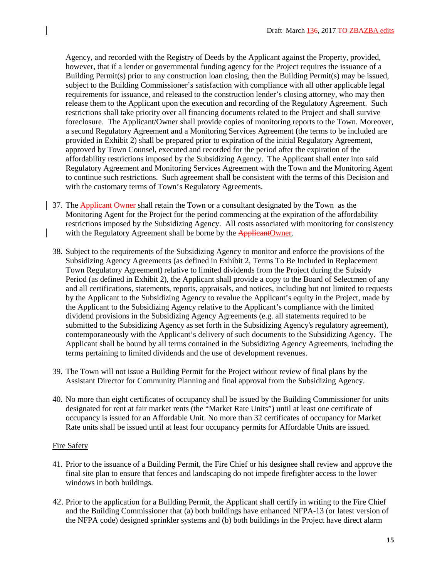Agency, and recorded with the Registry of Deeds by the Applicant against the Property, provided, however, that if a lender or governmental funding agency for the Project requires the issuance of a Building Permit(s) prior to any construction loan closing, then the Building Permit(s) may be issued, subject to the Building Commissioner's satisfaction with compliance with all other applicable legal requirements for issuance, and released to the construction lender's closing attorney, who may then release them to the Applicant upon the execution and recording of the Regulatory Agreement. Such restrictions shall take priority over all financing documents related to the Project and shall survive foreclosure. The Applicant/Owner shall provide copies of monitoring reports to the Town. Moreover, a second Regulatory Agreement and a Monitoring Services Agreement (the terms to be included are provided in Exhibit 2) shall be prepared prior to expiration of the initial Regulatory Agreement, approved by Town Counsel, executed and recorded for the period after the expiration of the affordability restrictions imposed by the Subsidizing Agency. The Applicant shall enter into said Regulatory Agreement and Monitoring Services Agreement with the Town and the Monitoring Agent to continue such restrictions. Such agreement shall be consistent with the terms of this Decision and with the customary terms of Town's Regulatory Agreements.

- 37. The Applicant Owner shall retain the Town or a consultant designated by the Town as the Monitoring Agent for the Project for the period commencing at the expiration of the affordability restrictions imposed by the Subsidizing Agency. All costs associated with monitoring for consistency with the Regulatory Agreement shall be borne by the ApplicantOwner.
- 38. Subject to the requirements of the Subsidizing Agency to monitor and enforce the provisions of the Subsidizing Agency Agreements (as defined in Exhibit 2, Terms To Be Included in Replacement Town Regulatory Agreement) relative to limited dividends from the Project during the Subsidy Period (as defined in Exhibit 2), the Applicant shall provide a copy to the Board of Selectmen of any and all certifications, statements, reports, appraisals, and notices, including but not limited to requests by the Applicant to the Subsidizing Agency to revalue the Applicant's equity in the Project, made by the Applicant to the Subsidizing Agency relative to the Applicant's compliance with the limited dividend provisions in the Subsidizing Agency Agreements (e.g. all statements required to be submitted to the Subsidizing Agency as set forth in the Subsidizing Agency's regulatory agreement), contemporaneously with the Applicant's delivery of such documents to the Subsidizing Agency. The Applicant shall be bound by all terms contained in the Subsidizing Agency Agreements, including the terms pertaining to limited dividends and the use of development revenues.
- 39. The Town will not issue a Building Permit for the Project without review of final plans by the Assistant Director for Community Planning and final approval from the Subsidizing Agency.
- 40. No more than eight certificates of occupancy shall be issued by the Building Commissioner for units designated for rent at fair market rents (the "Market Rate Units") until at least one certificate of occupancy is issued for an Affordable Unit. No more than 32 certificates of occupancy for Market Rate units shall be issued until at least four occupancy permits for Affordable Units are issued.

#### Fire Safety

- 41. Prior to the issuance of a Building Permit, the Fire Chief or his designee shall review and approve the final site plan to ensure that fences and landscaping do not impede firefighter access to the lower windows in both buildings.
- 42. Prior to the application for a Building Permit, the Applicant shall certify in writing to the Fire Chief and the Building Commissioner that (a) both buildings have enhanced NFPA-13 (or latest version of the NFPA code) designed sprinkler systems and (b) both buildings in the Project have direct alarm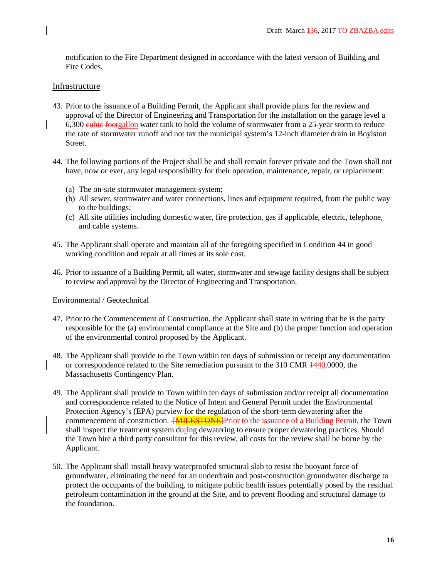notification to the Fire Department designed in accordance with the latest version of Building and Fire Codes.

# Infrastructure

- 43. Prior to the issuance of a Building Permit, the Applicant shall provide plans for the review and approval of the Director of Engineering and Transportation for the installation on the garage level a 6,300 eubic footgallon water tank to hold the volume of stormwater from a 25-year storm to reduce the rate of stormwater runoff and not tax the municipal system's 12-inch diameter drain in Boylston Street.
- 44. The following portions of the Project shall be and shall remain forever private and the Town shall not have, now or ever, any legal responsibility for their operation, maintenance, repair, or replacement:
	- (a) The on-site stormwater management system;
	- (b) All sewer, stormwater and water connections, lines and equipment required, from the public way to the buildings;
	- (c) All site utilities including domestic water, fire protection, gas if applicable, electric, telephone, and cable systems.
- 45. The Applicant shall operate and maintain all of the foregoing specified in Condition 44 in good working condition and repair at all times at its sole cost.
- 46. Prior to issuance of a Building Permit, all water, stormwater and sewage facility designs shall be subject to review and approval by the Director of Engineering and Transportation.

### Environmental / Geotechnical

- 47. Prior to the Commencement of Construction, the Applicant shall state in writing that he is the party responsible for the (a) environmental compliance at the Site and (b) the proper function and operation of the environmental control proposed by the Applicant.
- 48. The Applicant shall provide to the Town within ten days of submission or receipt any documentation or correspondence related to the Site remediation pursuant to the 310 CMR  $\frac{1440,0000}{1}$ , the Massachusetts Contingency Plan.
- 49. The Applicant shall provide to Town within ten days of submission and/or receipt all documentation and correspondence related to the Notice of Intent and General Permit under the Environmental Protection Agency's (EPA) purview for the regulation of the short-term dewatering after the commencement of construction. **[MILESTONE]**Prior to the issuance of a Building Permit, the Town shall inspect the treatment system during dewatering to ensure proper dewatering practices. Should the Town hire a third party consultant for this review, all costs for the review shall be borne by the Applicant.
- 50. The Applicant shall install heavy waterproofed structural slab to resist the buoyant force of groundwater, eliminating the need for an underdrain and post-construction groundwater discharge to protect the occupants of the building, to mitigate public health issues potentially posed by the residual petroleum contamination in the ground at the Site, and to prevent flooding and structural damage to the foundation.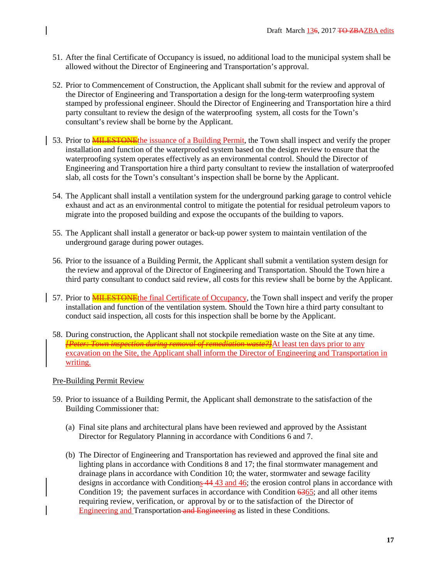- 51. After the final Certificate of Occupancy is issued, no additional load to the municipal system shall be allowed without the Director of Engineering and Transportation's approval.
- 52. Prior to Commencement of Construction, the Applicant shall submit for the review and approval of the Director of Engineering and Transportation a design for the long-term waterproofing system stamped by professional engineer. Should the Director of Engineering and Transportation hire a third party consultant to review the design of the waterproofing system, all costs for the Town's consultant's review shall be borne by the Applicant.
- 53. Prior to **MILESTONE**the issuance of a Building Permit, the Town shall inspect and verify the proper installation and function of the waterproofed system based on the design review to ensure that the waterproofing system operates effectively as an environmental control. Should the Director of Engineering and Transportation hire a third party consultant to review the installation of waterproofed slab, all costs for the Town's consultant's inspection shall be borne by the Applicant.
- 54. The Applicant shall install a ventilation system for the underground parking garage to control vehicle exhaust and act as an environmental control to mitigate the potential for residual petroleum vapors to migrate into the proposed building and expose the occupants of the building to vapors.
- 55. The Applicant shall install a generator or back-up power system to maintain ventilation of the underground garage during power outages.
- 56. Prior to the issuance of a Building Permit, the Applicant shall submit a ventilation system design for the review and approval of the Director of Engineering and Transportation. Should the Town hire a third party consultant to conduct said review, all costs for this review shall be borne by the Applicant.
- 57. Prior to **MILESTONE** the final Certificate of Occupancy, the Town shall inspect and verify the proper installation and function of the ventilation system. Should the Town hire a third party consultant to conduct said inspection, all costs for this inspection shall be borne by the Applicant.
	- 58. During construction, the Applicant shall not stockpile remediation waste on the Site at any time. *[Peter: Town inspection during removal of remediation waste?]*At least ten days prior to any excavation on the Site, the Applicant shall inform the Director of Engineering and Transportation in writing.

# Pre-Building Permit Review

- 59. Prior to issuance of a Building Permit, the Applicant shall demonstrate to the satisfaction of the Building Commissioner that:
	- (a) Final site plans and architectural plans have been reviewed and approved by the Assistant Director for Regulatory Planning in accordance with Conditions 6 and 7.
	- (b) The Director of Engineering and Transportation has reviewed and approved the final site and lighting plans in accordance with Conditions 8 and 17; the final stormwater management and drainage plans in accordance with Condition 10; the water, stormwater and sewage facility designs in accordance with Conditions  $\frac{44}{43}$  and  $\frac{46}{6}$ ; the erosion control plans in accordance with Condition 19; the pavement surfaces in accordance with Condition 6365; and all other items requiring review, verification, or approval by or to the satisfaction of the Director of Engineering and Transportation and Engineering as listed in these Conditions.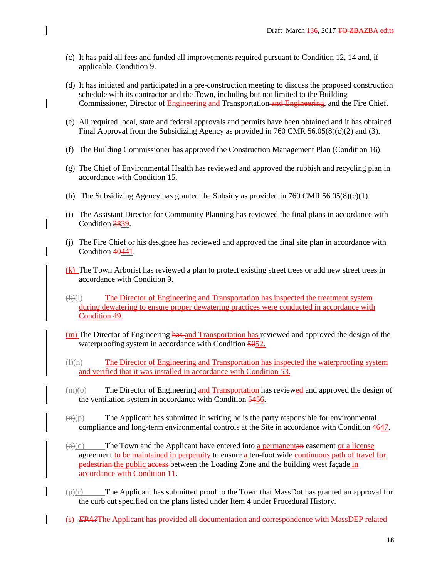- (c) It has paid all fees and funded all improvements required pursuant to Condition 12, 14 and, if applicable, Condition 9.
- (d) It has initiated and participated in a pre-construction meeting to discuss the proposed construction schedule with its contractor and the Town, including but not limited to the Building Commissioner, Director of Engineering and Transportation and Engineering, and the Fire Chief.
- (e) All required local, state and federal approvals and permits have been obtained and it has obtained Final Approval from the Subsidizing Agency as provided in 760 CMR 56.05(8)(c)(2) and (3).
- (f) The Building Commissioner has approved the Construction Management Plan (Condition 16).
- (g) The Chief of Environmental Health has reviewed and approved the rubbish and recycling plan in accordance with Condition 15.
- (h) The Subsidizing Agency has granted the Subsidy as provided in 760 CMR  $56.05(8)(c)(1)$ .
- (i) The Assistant Director for Community Planning has reviewed the final plans in accordance with Condition 3839.
- (j) The Fire Chief or his designee has reviewed and approved the final site plan in accordance with Condition 40441.
- (k) The Town Arborist has reviewed a plan to protect existing street trees or add new street trees in accordance with Condition 9.
- (k)(l) The Director of Engineering and Transportation has inspected the treatment system during dewatering to ensure proper dewatering practices were conducted in accordance with Condition 49.
- (m) The Director of Engineering has and Transportation has reviewed and approved the design of the waterproofing system in accordance with Condition 5052.
- $\frac{d^2(u)}{dx^2}$  The Director of Engineering and Transportation has inspected the waterproofing system and verified that it was installed in accordance with Condition 53.
- (m)(o) The Director of Engineering and Transportation has reviewed and approved the design of the ventilation system in accordance with Condition 5456.
- $\left(\frac{n}{p}\right)$  The Applicant has submitted in writing he is the party responsible for environmental compliance and long-term environmental controls at the Site in accordance with Condition 4647.
- $\left(\Theta\right)(q)$  The Town and the Applicant have entered into a permanentane easement or a license agreement to be maintained in perpetuity to ensure a ten-foot wide continuous path of travel for pedestrian the public access between the Loading Zone and the building west façade in accordance with Condition 11.
- $(\oplus)(r)$  The Applicant has submitted proof to the Town that MassDot has granted an approval for the curb cut specified on the plans listed under Item 4 under Procedural History.
- (s) *EPA?*The Applicant has provided all documentation and correspondence with MassDEP related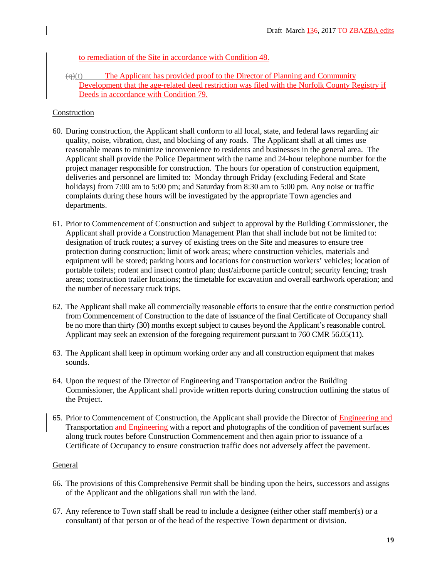to remediation of the Site in accordance with Condition 48.

 $(q)(t)$  The Applicant has provided proof to the Director of Planning and Community Development that the age-related deed restriction was filed with the Norfolk County Registry if Deeds in accordance with Condition 79.

## Construction

- 60. During construction, the Applicant shall conform to all local, state, and federal laws regarding air quality, noise, vibration, dust, and blocking of any roads. The Applicant shall at all times use reasonable means to minimize inconvenience to residents and businesses in the general area. The Applicant shall provide the Police Department with the name and 24-hour telephone number for the project manager responsible for construction. The hours for operation of construction equipment, deliveries and personnel are limited to: Monday through Friday (excluding Federal and State holidays) from 7:00 am to 5:00 pm; and Saturday from 8:30 am to 5:00 pm. Any noise or traffic complaints during these hours will be investigated by the appropriate Town agencies and departments.
- 61. Prior to Commencement of Construction and subject to approval by the Building Commissioner, the Applicant shall provide a Construction Management Plan that shall include but not be limited to: designation of truck routes; a survey of existing trees on the Site and measures to ensure tree protection during construction; limit of work areas; where construction vehicles, materials and equipment will be stored; parking hours and locations for construction workers' vehicles; location of portable toilets; rodent and insect control plan; dust/airborne particle control; security fencing; trash areas; construction trailer locations; the timetable for excavation and overall earthwork operation; and the number of necessary truck trips.
- 62. The Applicant shall make all commercially reasonable efforts to ensure that the entire construction period from Commencement of Construction to the date of issuance of the final Certificate of Occupancy shall be no more than thirty (30) months except subject to causes beyond the Applicant's reasonable control. Applicant may seek an extension of the foregoing requirement pursuant to 760 CMR 56.05(11).
- 63. The Applicant shall keep in optimum working order any and all construction equipment that makes sounds.
- 64. Upon the request of the Director of Engineering and Transportation and/or the Building Commissioner, the Applicant shall provide written reports during construction outlining the status of the Project.
- 65. Prior to Commencement of Construction, the Applicant shall provide the Director of Engineering and Transportation and Engineering with a report and photographs of the condition of pavement surfaces along truck routes before Construction Commencement and then again prior to issuance of a Certificate of Occupancy to ensure construction traffic does not adversely affect the pavement.

### General

- 66. The provisions of this Comprehensive Permit shall be binding upon the heirs, successors and assigns of the Applicant and the obligations shall run with the land.
- 67. Any reference to Town staff shall be read to include a designee (either other staff member(s) or a consultant) of that person or of the head of the respective Town department or division.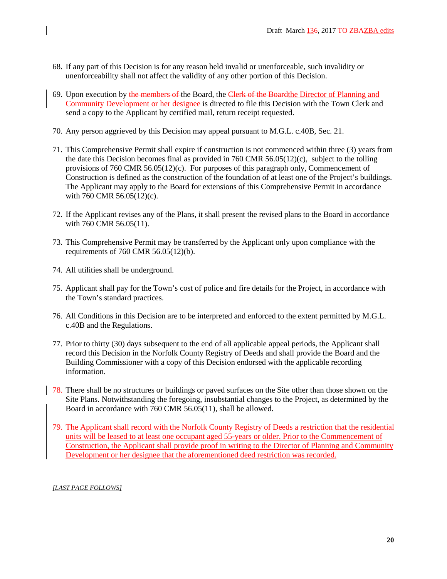- 68. If any part of this Decision is for any reason held invalid or unenforceable, such invalidity or unenforceability shall not affect the validity of any other portion of this Decision.
- 69. Upon execution by the members of the Board, the Clerk of the Board the Director of Planning and Community Development or her designee is directed to file this Decision with the Town Clerk and send a copy to the Applicant by certified mail, return receipt requested.
- 70. Any person aggrieved by this Decision may appeal pursuant to M.G.L. c.40B, Sec. 21.
- 71. This Comprehensive Permit shall expire if construction is not commenced within three (3) years from the date this Decision becomes final as provided in 760 CMR 56.05(12)(c), subject to the tolling provisions of 760 CMR 56.05(12)(c). For purposes of this paragraph only, Commencement of Construction is defined as the construction of the foundation of at least one of the Project's buildings. The Applicant may apply to the Board for extensions of this Comprehensive Permit in accordance with 760 CMR 56.05(12)(c).
- 72. If the Applicant revises any of the Plans, it shall present the revised plans to the Board in accordance with 760 CMR 56.05(11).
- 73. This Comprehensive Permit may be transferred by the Applicant only upon compliance with the requirements of 760 CMR 56.05(12)(b).
- 74. All utilities shall be underground.
- 75. Applicant shall pay for the Town's cost of police and fire details for the Project, in accordance with the Town's standard practices.
- 76. All Conditions in this Decision are to be interpreted and enforced to the extent permitted by M.G.L. c.40B and the Regulations.
- 77. Prior to thirty (30) days subsequent to the end of all applicable appeal periods, the Applicant shall record this Decision in the Norfolk County Registry of Deeds and shall provide the Board and the Building Commissioner with a copy of this Decision endorsed with the applicable recording information.
- 78. There shall be no structures or buildings or paved surfaces on the Site other than those shown on the Site Plans. Notwithstanding the foregoing, insubstantial changes to the Project, as determined by the Board in accordance with 760 CMR 56.05(11), shall be allowed.
- 79. The Applicant shall record with the Norfolk County Registry of Deeds a restriction that the residential units will be leased to at least one occupant aged 55-years or older. Prior to the Commencement of Construction, the Applicant shall provide proof in writing to the Director of Planning and Community Development or her designee that the aforementioned deed restriction was recorded.

#### *[LAST PAGE FOLLOWS]*